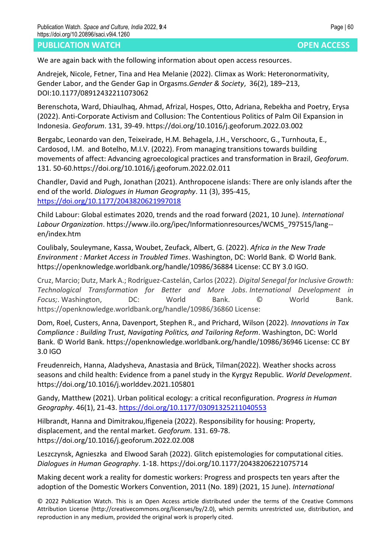## **PUBLICATION WATCH OPEN ACCESS**

We are again back with the following information about open access resources.

Andrejek, Nicole, Fetner, Tina and Hea Melanie (2022). Climax as Work: Heteronormativity, Gender Labor, and the Gender Gap in Orgasms.*Gender & Society*, 36(2), 189–213, DOI:10.1177/08912432211073062

Berenschota, Ward, Dhiaulhaq, Ahmad, Afrizal, Hospes, Otto, Adriana, Rebekha and Poetry, Erysa (2022). Anti-Corporate Activism and Collusion: The Contentious Politics of Palm Oil Expansion in Indonesia. *Geoforum*. 131, 39-49. https://doi.org/10.1016/j.geoforum.2022.03.002

Bergabc, Leonardo van den, Teixeirade, H.M. Behagela, J.H., Verschoorc, G., Turnhouta, E., Cardosod, I.M. and Botelho, M.I.V. (2022). From managing transitions towards building movements of affect: Advancing agroecological practices and transformation in Brazil, *Geoforum*. 131. 50-60.https://doi.org/10.1016/j.geoforum.2022.02.011

Chandler, David and Pugh, Jonathan (2021). Anthropocene islands: There are only islands after the end of the world. *Dialogues in Human Geography*. 11 (3), 395-415, <https://doi.org/10.1177/2043820621997018>

Child Labour: Global estimates 2020, trends and the road forward (2021, 10 June). *International Labour Organization*. https://www.ilo.org/ipec/Informationresources/WCMS\_797515/lang- en/index.htm

Coulibaly, Souleymane, Kassa, Woubet, Zeufack, Albert, G. (2022). *Africa in the New Trade Environment : Market Access in Troubled Times*. Washington, DC: World Bank. © World Bank. https://openknowledge.worldbank.org/handle/10986/36884 License: CC BY 3.0 IGO.

Cruz, Marcio; Dutz, Mark A.; Rodríguez-Castelán, Carlos (2022). *Digital Senegal for Inclusive Growth: Technological Transformation for Better and More Jobs. International Development in Focus;*. Washington, DC: World Bank. © World Bank. https://openknowledge.worldbank.org/handle/10986/36860 License:

Dom, Roel, Custers, Anna, Davenport, Stephen R., and Prichard, Wilson (2022). *Innovations in Tax Compliance : Building Trust, Navigating Politics, and Tailoring Reform*. Washington, DC: World Bank. © World Bank. https://openknowledge.worldbank.org/handle/10986/36946 License: CC BY 3.0 IGO

Freudenreich, Hanna, Aladysheva, Anastasia and Brück, Tilman(2022). Weather shocks across seasons and child health: Evidence from a panel study in the Kyrgyz Republic. *World Development*. https://doi.org/10.1016/j.worlddev.2021.105801

Gandy, Matthew (2021). Urban political ecology: a critical reconfiguration. *Progress in Human Geography*. 46(1), 21-43.<https://doi.org/10.1177/03091325211040553>

Hilbrandt, Hanna and Dimitrakou,Ifigeneia (2022). Responsibility for housing: Property, displacement, and the rental market. *Geoforum*. 131. 69-78. https://doi.org/10.1016/j.geoforum.2022.02.008

Leszczynsk, Agnieszka and Elwood Sarah (2022). Glitch epistemologies for computational cities. *Dialogues in Human Geography*. 1-18. https://doi.org/10.1177/20438206221075714

Making decent work a reality for domestic workers: Progress and prospects ten years after the adoption of the Domestic Workers Convention, 2011 (No. 189) (2021, 15 June). *International* 

© 2022 Publication Watch. This is an Open Access article distributed under the terms of the Creative Commons Attribution License (http://creativecommons.org/licenses/by/2.0), which permits unrestricted use, distribution, and reproduction in any medium, provided the original work is properly cited.